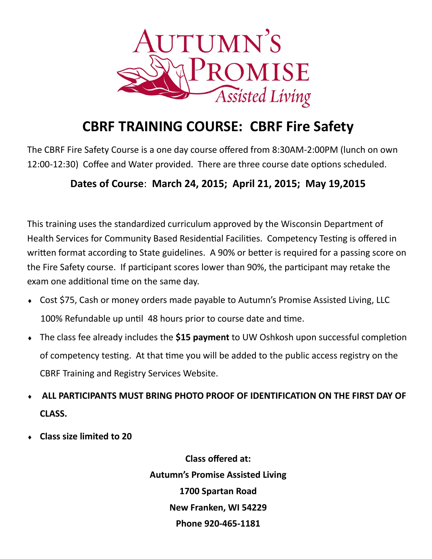

## **CBRF TRAINING COURSE: CBRF Fire Safety**

The CBRF Fire Safety Course is a one day course offered from 8:30AM-2:00PM (lunch on own 12:00-12:30) Coffee and Water provided. There are three course date options scheduled.

## **Dates of Course**: **March 24, 2015; April 21, 2015; May 19,2015**

This training uses the standardized curriculum approved by the Wisconsin Department of Health Services for Community Based Residential Facilities. Competency Testing is offered in written format according to State guidelines. A 90% or better is required for a passing score on the Fire Safety course. If participant scores lower than 90%, the participant may retake the exam one additional time on the same day.

- Cost \$75, Cash or money orders made payable to Autumn's Promise Assisted Living, LLC 100% Refundable up until 48 hours prior to course date and time.
- The class fee already includes the **\$15 payment** to UW Oshkosh upon successful completion of competency testing. At that time you will be added to the public access registry on the CBRF Training and Registry Services Website.
- **ALL PARTICIPANTS MUST BRING PHOTO PROOF OF IDENTIFICATION ON THE FIRST DAY OF CLASS.**
- **Class size limited to 20**

**Class offered at: Autumn's Promise Assisted Living 1700 Spartan Road New Franken, WI 54229 Phone 920-465-1181**